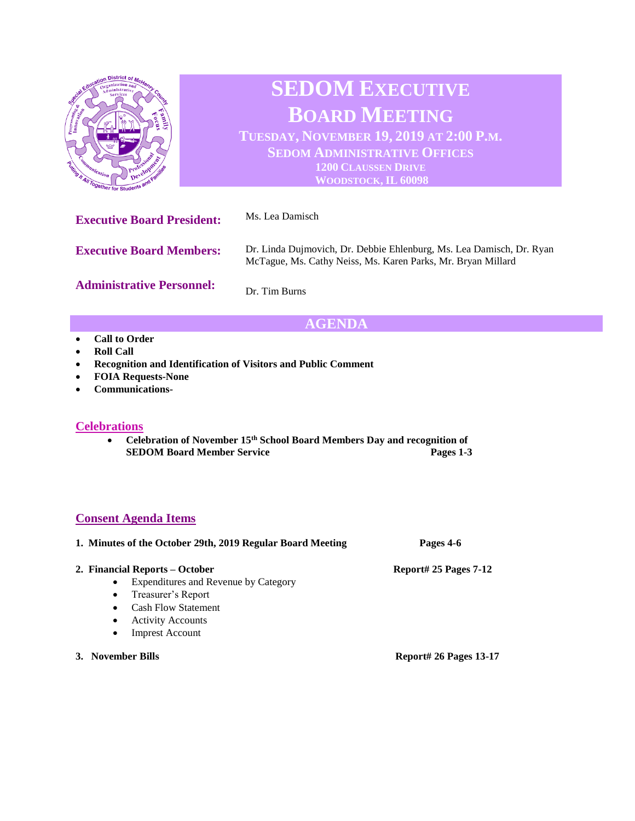

# **AGENDA**

- **Call to Order**
- **Roll Call**
- **Recognition and Identification of Visitors and Public Comment**
- **FOIA Requests-None**
- **Communications-**

### **Celebrations**

• **Celebration of November 15th School Board Members Day and recognition of SEDOM Board Member Service Pages 1-3** 

## **Consent Agenda Items**

| 1. Minutes of the October 29th, 2019 Regular Board Meeting | Pages 4-6               |
|------------------------------------------------------------|-------------------------|
| 2. Financial Reports – October                             | Report# 25 Pages $7-12$ |
| Expenditures and Revenue by Category<br>$\bullet$          |                         |
| Treasurer's Report<br>$\bullet$                            |                         |
| <b>Cash Flow Statement</b>                                 |                         |
| <b>Activity Accounts</b>                                   |                         |
|                                                            |                         |

- Imprest Account
- **3. November Bills Report# 26 Pages 13-17**